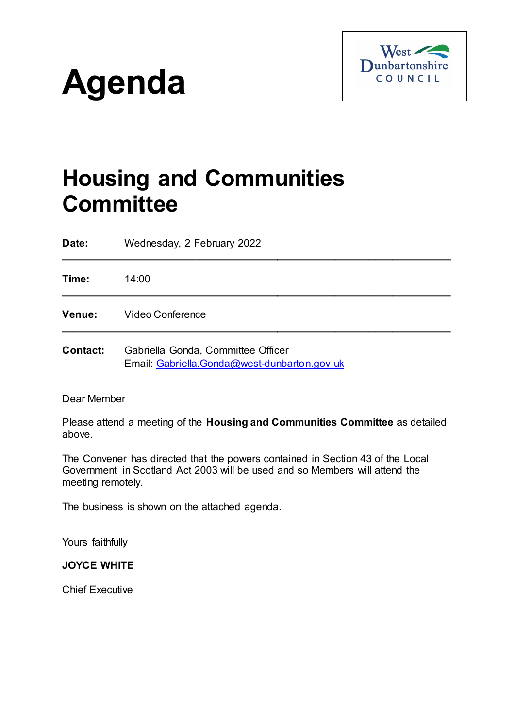# **Agenda**



# **Housing and Communities Committee**

**Date:** Wednesday, 2 February 2022

**Time:** 14:00 **\_\_\_\_\_\_\_\_\_\_\_\_\_\_\_\_\_\_\_\_\_\_\_\_\_\_\_\_\_\_\_\_\_\_\_\_\_\_\_\_\_\_\_\_\_\_\_\_\_\_\_\_\_\_\_\_\_\_\_\_\_\_\_\_\_\_\_ Venue:** Video Conference **\_\_\_\_\_\_\_\_\_\_\_\_\_\_\_\_\_\_\_\_\_\_\_\_\_\_\_\_\_\_\_\_\_\_\_\_\_\_\_\_\_\_\_\_\_\_\_\_\_\_\_\_\_\_\_\_\_\_\_\_\_\_\_\_\_\_\_**

**Contact:** Gabriella Gonda, Committee Officer Email: [Gabriella.Gonda@west-dunbarton.gov.uk](mailto:Gabriella.Gonda@west-dunbarton.gov.uk)

# Dear Member

Please attend a meeting of the **Housing and Communities Committee** as detailed above.

**\_\_\_\_\_\_\_\_\_\_\_\_\_\_\_\_\_\_\_\_\_\_\_\_\_\_\_\_\_\_\_\_\_\_\_\_\_\_\_\_\_\_\_\_\_\_\_\_\_\_\_\_\_\_\_\_\_\_\_\_\_\_\_\_\_\_\_**

The Convener has directed that the powers contained in Section 43 of the Local Government in Scotland Act 2003 will be used and so Members will attend the meeting remotely.

The business is shown on the attached agenda.

Yours faithfully

# **JOYCE WHITE**

Chief Executive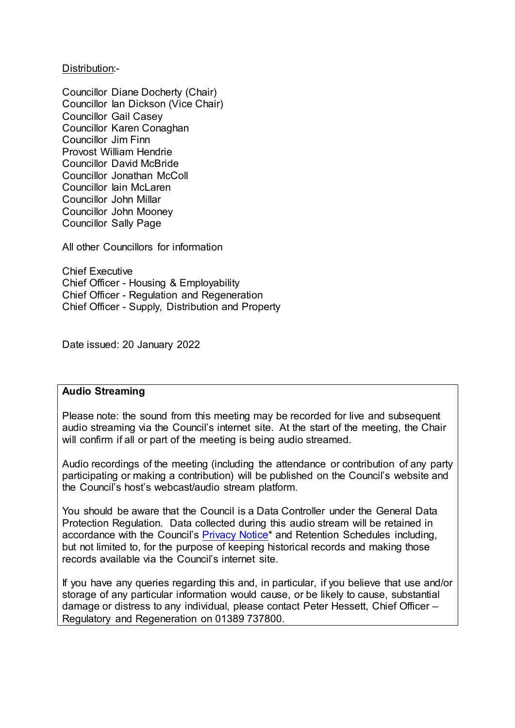Distribution:-

Councillor Diane Docherty (Chair) Councillor Ian Dickson (Vice Chair) Councillor Gail Casey Councillor Karen Conaghan Councillor Jim Finn Provost William Hendrie Councillor David McBride Councillor Jonathan McColl Councillor Iain McLaren Councillor John Millar Councillor John Mooney Councillor Sally Page

All other Councillors for information

Chief Executive Chief Officer - Housing & Employability Chief Officer - Regulation and Regeneration Chief Officer - Supply, Distribution and Property

Date issued: 20 January 2022

#### **Audio Streaming**

Please note: the sound from this meeting may be recorded for live and subsequent audio streaming via the Council's internet site. At the start of the meeting, the Chair will confirm if all or part of the meeting is being audio streamed.

Audio recordings of the meeting (including the attendance or contribution of any party participating or making a contribution) will be published on the Council's website and the Council's host's webcast/audio stream platform.

You should be aware that the Council is a Data Controller under the General Data Protection Regulation. Data collected during this audio stream will be retained in accordance with the Council's [Privacy Notice\\*](http://www.west-dunbarton.gov.uk/privacy/privacy-notice/) and Retention Schedules including, but not limited to, for the purpose of keeping historical records and making those records available via the Council's internet site.

If you have any queries regarding this and, in particular, if you believe that use and/or storage of any particular information would cause, or be likely to cause, substantial damage or distress to any individual, please contact Peter Hessett, Chief Officer – Regulatory and Regeneration on 01389 737800.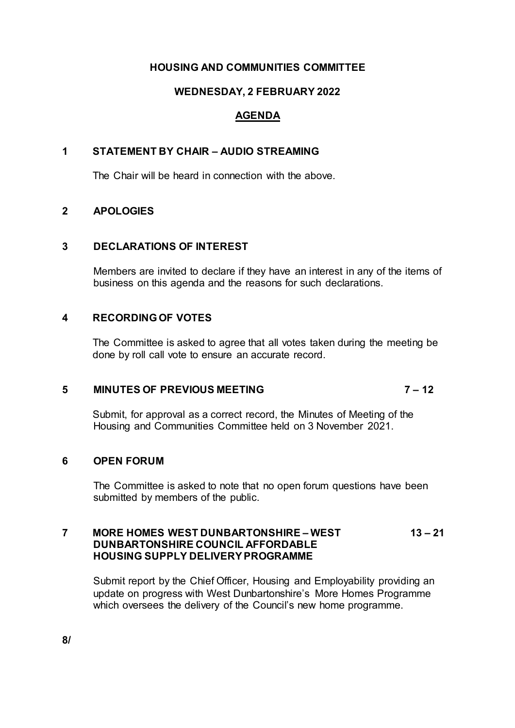# **HOUSING AND COMMUNITIES COMMITTEE**

# **WEDNESDAY, 2 FEBRUARY 2022**

# **AGENDA**

#### **1 STATEMENT BY CHAIR – AUDIO STREAMING**

The Chair will be heard in connection with the above.

# **2 APOLOGIES**

#### **3 DECLARATIONS OF INTEREST**

Members are invited to declare if they have an interest in any of the items of business on this agenda and the reasons for such declarations.

# **4 RECORDING OF VOTES**

The Committee is asked to agree that all votes taken during the meeting be done by roll call vote to ensure an accurate record.

#### **5 MINUTES OF PREVIOUS MEETING 7 – 12**

Submit, for approval as a correct record, the Minutes of Meeting of the Housing and Communities Committee held on 3 November 2021.

#### **6 OPEN FORUM**

The Committee is asked to note that no open forum questions have been submitted by members of the public.

#### **7 MORE HOMES WEST DUNBARTONSHIRE – WEST 13 – 21 DUNBARTONSHIRE COUNCIL AFFORDABLE HOUSING SUPPLY DELIVERY PROGRAMME**

Submit report by the Chief Officer, Housing and Employability providing an update on progress with West Dunbartonshire's More Homes Programme which oversees the delivery of the Council's new home programme.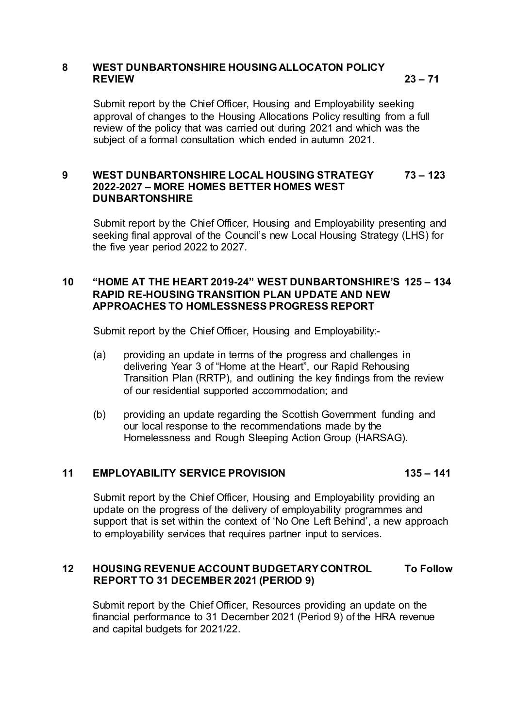# **8 WEST DUNBARTONSHIRE HOUSING ALLOCATON POLICY REVIEW 23 – 71**

Submit report by the Chief Officer, Housing and Employability seeking approval of changes to the Housing Allocations Policy resulting from a full review of the policy that was carried out during 2021 and which was the subject of a formal consultation which ended in autumn 2021.

#### **9 WEST DUNBARTONSHIRE LOCAL HOUSING STRATEGY 73 – 123 2022-2027 – MORE HOMES BETTER HOMES WEST DUNBARTONSHIRE**

Submit report by the Chief Officer, Housing and Employability presenting and seeking final approval of the Council's new Local Housing Strategy (LHS) for the five year period 2022 to 2027.

#### **10 "HOME AT THE HEART 2019-24" WEST DUNBARTONSHIRE'S 125 – 134 RAPID RE-HOUSING TRANSITION PLAN UPDATE AND NEW APPROACHES TO HOMLESSNESS PROGRESS REPORT**

Submit report by the Chief Officer, Housing and Employability:-

- (a) providing an update in terms of the progress and challenges in delivering Year 3 of "Home at the Heart", our Rapid Rehousing Transition Plan (RRTP), and outlining the key findings from the review of our residential supported accommodation; and
- (b) providing an update regarding the Scottish Government funding and our local response to the recommendations made by the Homelessness and Rough Sleeping Action Group (HARSAG).

# **11 EMPLOYABILITY SERVICE PROVISION 135 – 141**

Submit report by the Chief Officer, Housing and Employability providing an update on the progress of the delivery of employability programmes and support that is set within the context of 'No One Left Behind', a new approach to employability services that requires partner input to services.

# **12 HOUSING REVENUE ACCOUNT BUDGETARY CONTROL To Follow REPORT TO 31 DECEMBER 2021 (PERIOD 9)**

Submit report by the Chief Officer, Resources providing an update on the financial performance to 31 December 2021 (Period 9) of the HRA revenue and capital budgets for 2021/22.